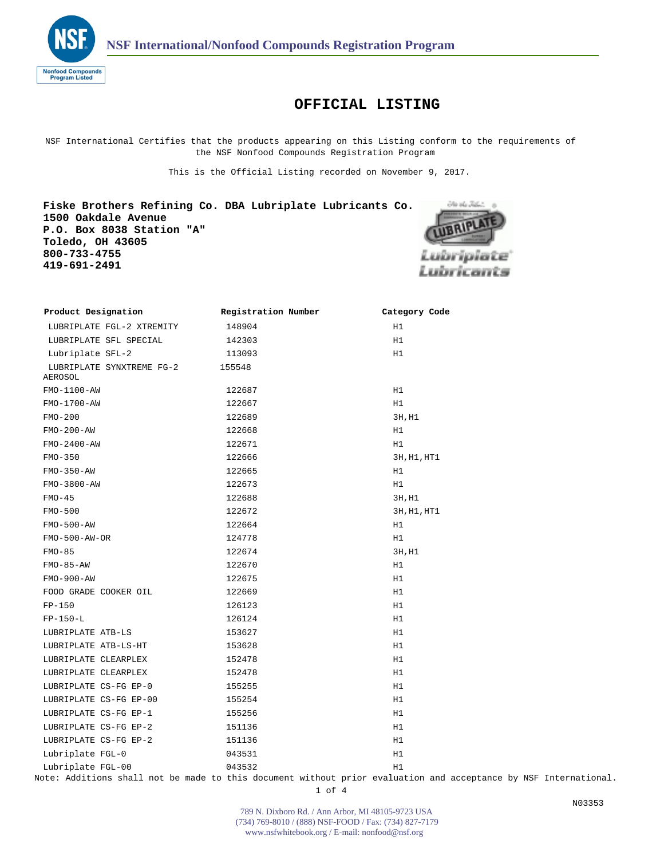

## **OFFICIAL LISTING**

NSF International Certifies that the products appearing on this Listing conform to the requirements of the NSF Nonfood Compounds Registration Program

This is the Official Listing recorded on November 9, 2017.

**Fiske Brothers Refining Co. DBA Lubriplate Lubricants Co. 1500 Oakdale Avenue P.O. Box 8038 Station "A" Toledo, OH 43605 800-733-4755 419-691-2491**



| Product Designation                  | Registration Number | Category Code |
|--------------------------------------|---------------------|---------------|
| LUBRIPLATE FGL-2 XTREMITY            | 148904              | H1            |
| LUBRIPLATE SFL SPECIAL               | 142303              | H1            |
| Lubriplate SFL-2                     | 113093              | H1            |
| LUBRIPLATE SYNXTREME FG-2<br>AEROSOL | 155548              |               |
| FMO-1100-AW                          | 122687              | H1            |
| FMO-1700-AW                          | 122667              | H1            |
| $FMO-200$                            | 122689              | 3H, H1        |
| $FMO-200-AW$                         | 122668              | H1            |
| $FMO-2400-AW$                        | 122671              | H1            |
| FMO-350                              | 122666              | 3H, H1, HT1   |
| $FMO-350-AW$                         | 122665              | H1            |
| FMO-3800-AW                          | 122673              | H1            |
| $FMO-45$                             | 122688              | 3H, H1        |
| $FMO-500$                            | 122672              | 3H, H1, HT1   |
| FMO-500-AW                           | 122664              | H1            |
| $FMO-500-AW-OR$                      | 124778              | Η1            |
| $FMO-85$                             | 122674              | 3H, H1        |
| $FMO-85-AW$                          | 122670              | H1            |
| FMO-900-AW                           | 122675              | H1            |
| FOOD GRADE COOKER OIL                | 122669              | H1            |
| $FP-150$                             | 126123              | H1            |
| $FP-150-L$                           | 126124              | H1            |
| LUBRIPLATE ATB-LS                    | 153627              | H1            |
| LUBRIPLATE ATB-LS-HT                 | 153628              | H1            |
| LUBRIPLATE CLEARPLEX                 | 152478              | H1            |
| LUBRIPLATE CLEARPLEX                 | 152478              | H1            |
| LUBRIPLATE CS-FG EP-0                | 155255              | H1            |
| LUBRIPLATE CS-FG EP-00               | 155254              | H1            |
| LUBRIPLATE CS-FG EP-1                | 155256              | H1            |
| LUBRIPLATE CS-FG EP-2                | 151136              | Η1            |
| LUBRIPLATE CS-FG EP-2                | 151136              | H1            |
| Lubriplate FGL-0                     | 043531              | H1            |
| Lubriplate FGL-00                    | 043532              | H1            |

Note: Additions shall not be made to this document without prior evaluation and acceptance by NSF International.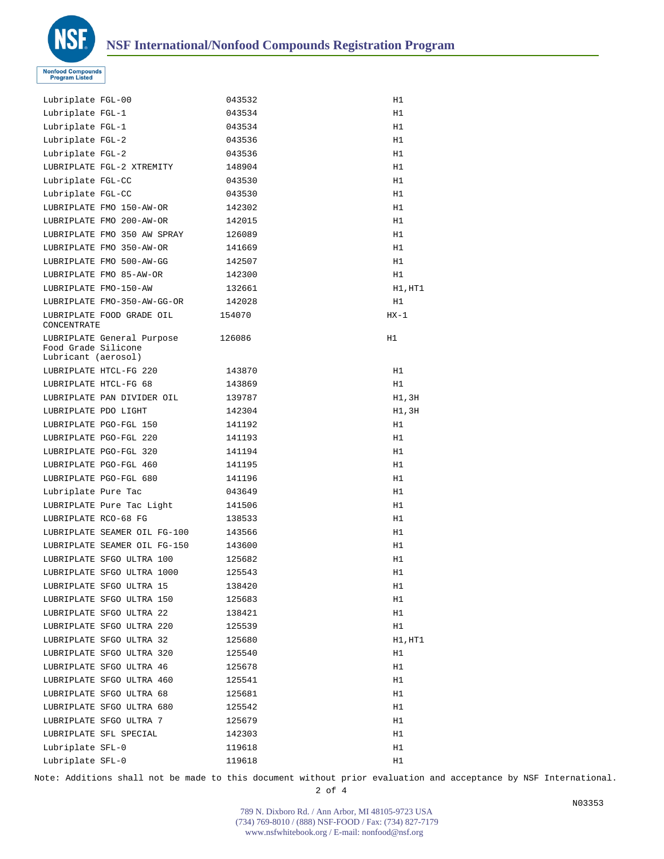

| Lubriplate FGL-00                                                               | 043532 | H1     |
|---------------------------------------------------------------------------------|--------|--------|
| Lubriplate FGL-1                                                                | 043534 | Η1     |
| Lubriplate FGL-1                                                                | 043534 | H1     |
| Lubriplate FGL-2                                                                | 043536 | H1     |
| Lubriplate FGL-2                                                                | 043536 | H1     |
| LUBRIPLATE FGL-2 XTREMITY                                                       | 148904 | H1     |
| Lubriplate FGL-CC                                                               | 043530 | H1     |
| Lubriplate FGL-CC                                                               | 043530 | H1     |
| LUBRIPLATE FMO 150-AW-OR                                                        | 142302 | H1     |
| LUBRIPLATE FMO 200-AW-OR                                                        | 142015 | H1     |
| LUBRIPLATE FMO 350 AW SPRAY                                                     | 126089 | Η1     |
| LUBRIPLATE FMO 350-AW-OR                                                        | 141669 | H1     |
| LUBRIPLATE FMO 500-AW-GG                                                        | 142507 | H1     |
| LUBRIPLATE FMO 85-AW-OR                                                         | 142300 | H1     |
| LUBRIPLATE FMO-150-AW                                                           | 132661 | H1,HT1 |
| LUBRIPLATE FMO-350-AW-GG-OR                                                     | 142028 | H1     |
| LUBRIPLATE FOOD GRADE OIL<br>CONCENTRATE                                        | 154070 | $HX-1$ |
| LUBRIPLATE General Purpose 126086<br>Food Grade Silicone<br>Lubricant (aerosol) |        | H1     |
| LUBRIPLATE HTCL-FG 220                                                          | 143870 | H1     |
| LUBRIPLATE HTCL-FG 68                                                           | 143869 | H1     |
| LUBRIPLATE PAN DIVIDER OIL                                                      | 139787 | H1,3H  |
| LUBRIPLATE PDO LIGHT                                                            | 142304 | H1,3H  |
| LUBRIPLATE PGO-FGL 150                                                          | 141192 | H1     |
| LUBRIPLATE PGO-FGL 220                                                          | 141193 | H1     |
| LUBRIPLATE PGO-FGL 320                                                          | 141194 | H1     |
| LUBRIPLATE PGO-FGL 460                                                          | 141195 | H1     |
| LUBRIPLATE PGO-FGL 680                                                          | 141196 | Η1     |
| Lubriplate Pure Tac                                                             | 043649 | H1     |
| LUBRIPLATE Pure Tac Light                                                       | 141506 | H1     |
| LUBRIPLATE RCO-68 FG                                                            | 138533 | H1     |
| LUBRIPLATE SEAMER OIL FG-100                                                    | 143566 | Η1     |
| LUBRIPLATE SEAMER OIL FG-150                                                    | 143600 | H1     |
| LUBRIPLATE SFGO ULTRA 100                                                       | 125682 | Η1     |
| LUBRIPLATE SFGO ULTRA 1000                                                      | 125543 | H1     |
| LUBRIPLATE SFGO ULTRA 15                                                        | 138420 | H1     |
| LUBRIPLATE SFGO ULTRA 150                                                       | 125683 | Η1     |
| LUBRIPLATE SFGO ULTRA 22                                                        | 138421 | H1     |
| LUBRIPLATE SFGO ULTRA 220                                                       | 125539 | Η1     |
| LUBRIPLATE SFGO ULTRA 32                                                        | 125680 | H1,HT1 |
| LUBRIPLATE SFGO ULTRA 320                                                       | 125540 | Η1     |
| LUBRIPLATE SFGO ULTRA 46                                                        | 125678 | Η1     |
| LUBRIPLATE SFGO ULTRA 460                                                       | 125541 | Η1     |
| LUBRIPLATE SFGO ULTRA 68                                                        | 125681 | Η1     |
| LUBRIPLATE SFGO ULTRA 680                                                       | 125542 | Η1     |
| LUBRIPLATE SFGO ULTRA 7                                                         |        |        |
|                                                                                 | 125679 | Η1     |
| LUBRIPLATE SFL SPECIAL                                                          | 142303 | Η1     |
| Lubriplate SFL-0                                                                | 119618 | H1     |
| Lubriplate SFL-0                                                                | 119618 | Η1     |

Note: Additions shall not be made to this document without prior evaluation and acceptance by NSF International.

2 of 4

789 N. Dixboro Rd. / Ann Arbor, MI 48105-9723 USA (734) 769-8010 / (888) NSF-FOOD / Fax: (734) 827-7179 www.nsfwhitebook.org / E-mail: nonfood@nsf.org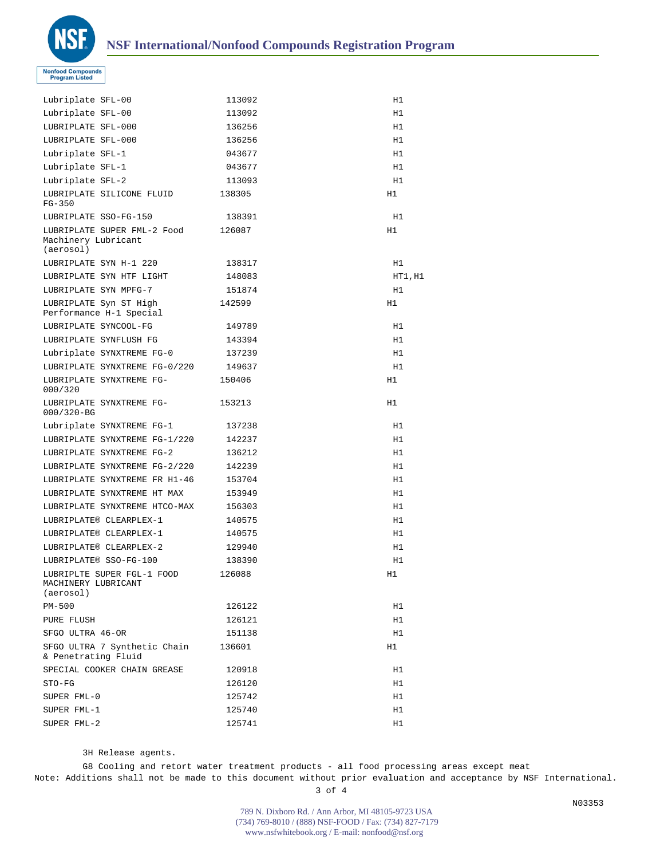

| Lubriplate SFL-00                                                      | 113092 | H1      |
|------------------------------------------------------------------------|--------|---------|
| Lubriplate SFL-00                                                      | 113092 | H1      |
| LUBRIPLATE SFL-000                                                     | 136256 | H1      |
| LUBRIPLATE SFL-000                                                     | 136256 | H1      |
| Lubriplate SFL-1                                                       | 043677 | H1      |
| Lubriplate SFL-1                                                       | 043677 | H1      |
| Lubriplate SFL-2                                                       | 113093 | H1      |
| LUBRIPLATE SILICONE FLUID<br>$FG - 350$                                | 138305 | H1      |
| LUBRIPLATE SSO-FG-150                                                  | 138391 | H1      |
| LUBRIPLATE SUPER FML-2 Food 126087<br>Machinery Lubricant<br>(aerosol) |        | H1      |
| LUBRIPLATE SYN H-1 220                                                 | 138317 | H1      |
| LUBRIPLATE SYN HTF LIGHT                                               | 148083 | HT1, H1 |
| LUBRIPLATE SYN MPFG-7                                                  | 151874 | H1      |
| LUBRIPLATE Syn ST High<br>Performance H-1 Special                      | 142599 | H1      |
| LUBRIPLATE SYNCOOL-FG                                                  | 149789 | H1      |
| LUBRIPLATE SYNFLUSH FG                                                 | 143394 | H1      |
| Lubriplate SYNXTREME FG-0                                              | 137239 | Η1      |
| LUBRIPLATE SYNXTREME FG-0/220 149637                                   |        | H1      |
| LUBRIPLATE SYNXTREME FG-<br>000/320                                    | 150406 | H1      |
| LUBRIPLATE SYNXTREME FG-<br>$000/320 - BG$                             | 153213 | Η1      |
| Lubriplate SYNXTREME FG-1                                              | 137238 | Η1      |
| LUBRIPLATE SYNXTREME FG-1/220                                          | 142237 | Η1      |
| LUBRIPLATE SYNXTREME FG-2                                              | 136212 | H1      |
| LUBRIPLATE SYNXTREME FG-2/220                                          | 142239 | H1      |
| LUBRIPLATE SYNXTREME FR H1-46                                          | 153704 | H1      |
| LUBRIPLATE SYNXTREME HT MAX                                            | 153949 | Η1      |
| LUBRIPLATE SYNXTREME HTCO-MAX                                          | 156303 | H1      |
| LUBRIPLATE® CLEARPLEX-1                                                | 140575 | Η1      |
| LUBRIPLATE® CLEARPLEX-1                                                | 140575 | Η1      |
| LUBRIPLATE® CLEARPLEX-2                                                | 129940 | H1      |
| LUBRIPLATE® SSO-FG-100                                                 | 138390 | H1      |
| LUBRIPLTE SUPER FGL-1 FOOD 126088<br>MACHINERY LUBRICANT<br>(aerosol)  |        | H1      |
| PM-500                                                                 | 126122 | Η1      |
| PURE FLUSH                                                             | 126121 | Η1      |
| SFGO ULTRA 46-OR                                                       | 151138 | H1      |
| SFGO ULTRA 7 Synthetic Chain<br>& Penetrating Fluid                    | 136601 | Η1      |
| SPECIAL COOKER CHAIN GREASE                                            | 120918 | Η1      |
| $STO-FG$                                                               | 126120 | Η1      |
| SUPER FML-0                                                            | 125742 | Η1      |
| SUPER FML-1                                                            | 125740 | H1      |
| SUPER FML-2                                                            | 125741 | Η1      |
|                                                                        |        |         |

3H Release agents.

G8 Cooling and retort water treatment products - all food processing areas except meat

Note: Additions shall not be made to this document without prior evaluation and acceptance by NSF International.

789 N. Dixboro Rd. / Ann Arbor, MI 48105-9723 USA (734) 769-8010 / (888) NSF-FOOD / Fax: (734) 827-7179 www.nsfwhitebook.org / E-mail: nonfood@nsf.org